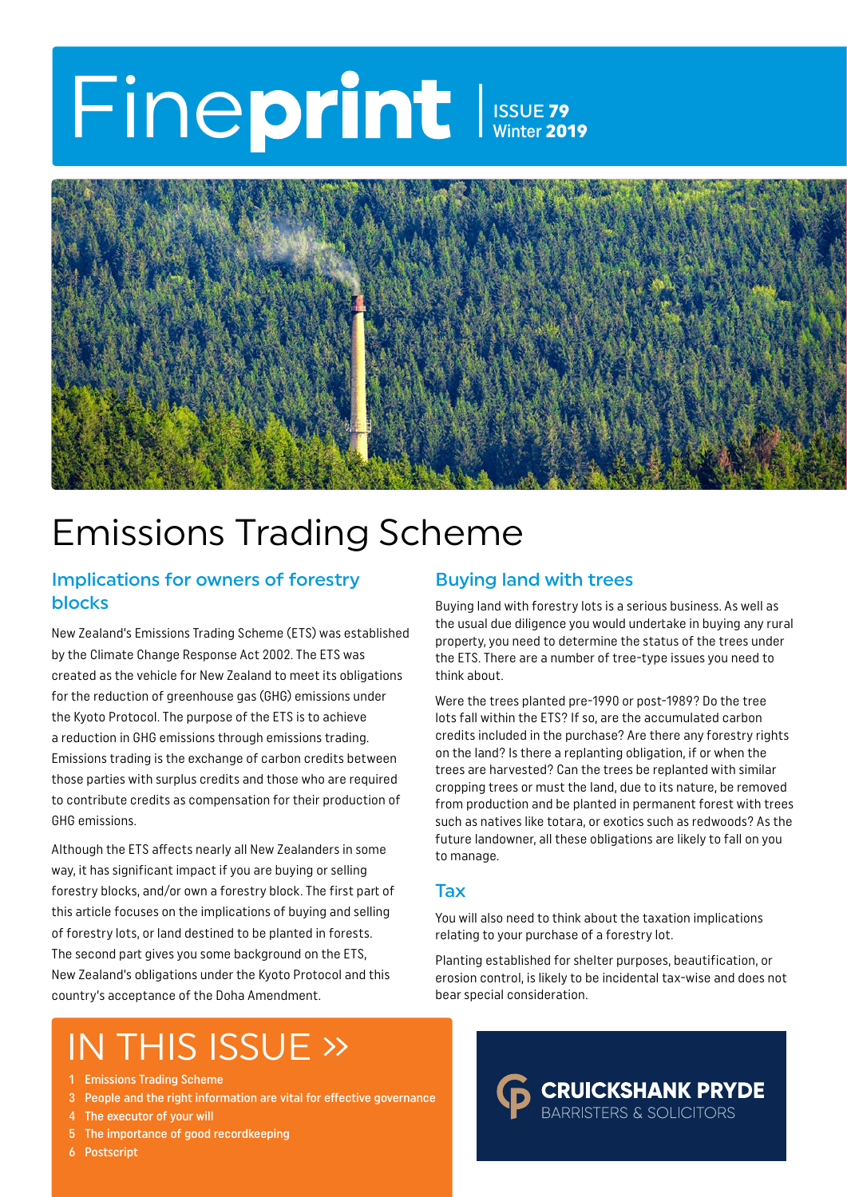## Fineprint Issue 79 Winter 2019



### Emissions Trading Scheme

#### Implications for owners of forestry blocks

New Zealand's Emissions Trading Scheme (ETS) was established by the Climate Change Response Act 2002. The ETS was created as the vehicle for New Zealand to meet its obligations for the reduction of greenhouse gas (GHG) emissions under the Kyoto Protocol. The purpose of the ETS is to achieve a reduction in GHG emissions through emissions trading. Emissions trading is the exchange of carbon credits between those parties with surplus credits and those who are required to contribute credits as compensation for their production of GHG emissions.

Although the ETS affects nearly all New Zealanders in some way, it has significant impact if you are buying or selling forestry blocks, and/or own a forestry block. The first part of this article focuses on the implications of buying and selling of forestry lots, or land destined to be planted in forests. The second part gives you some background on the ETS, New Zealand's obligations under the Kyoto Protocol and this country's acceptance of the Doha Amendment.

### IN THIS ISSUE »

- 1 Emissions Trading Scheme
- 3 People and the right information are vital for effective governance
- 4 The executor of your will
- 5 The importance of good recordkeeping
- 6 Postscript

#### Buying land with trees

Buying land with forestry lots is a serious business. As well as the usual due diligence you would undertake in buying any rural property, you need to determine the status of the trees under the ETS. There are a number of tree-type issues you need to think about.

Were the trees planted pre-1990 or post-1989? Do the tree lots fall within the ETS? If so, are the accumulated carbon credits included in the purchase? Are there any forestry rights on the land? Is there a replanting obligation, if or when the trees are harvested? Can the trees be replanted with similar cropping trees or must the land, due to its nature, be removed from production and be planted in permanent forest with trees such as natives like totara, or exotics such as redwoods? As the future landowner, all these obligations are likely to fall on you to manage.

#### Tax

You will also need to think about the taxation implications relating to your purchase of a forestry lot.

Planting established for shelter purposes, beautification, or erosion control, is likely to be incidental tax-wise and does not bear special consideration.

> **CRUICKSHANK PRYDE BARRISTERS & SOLICITORS**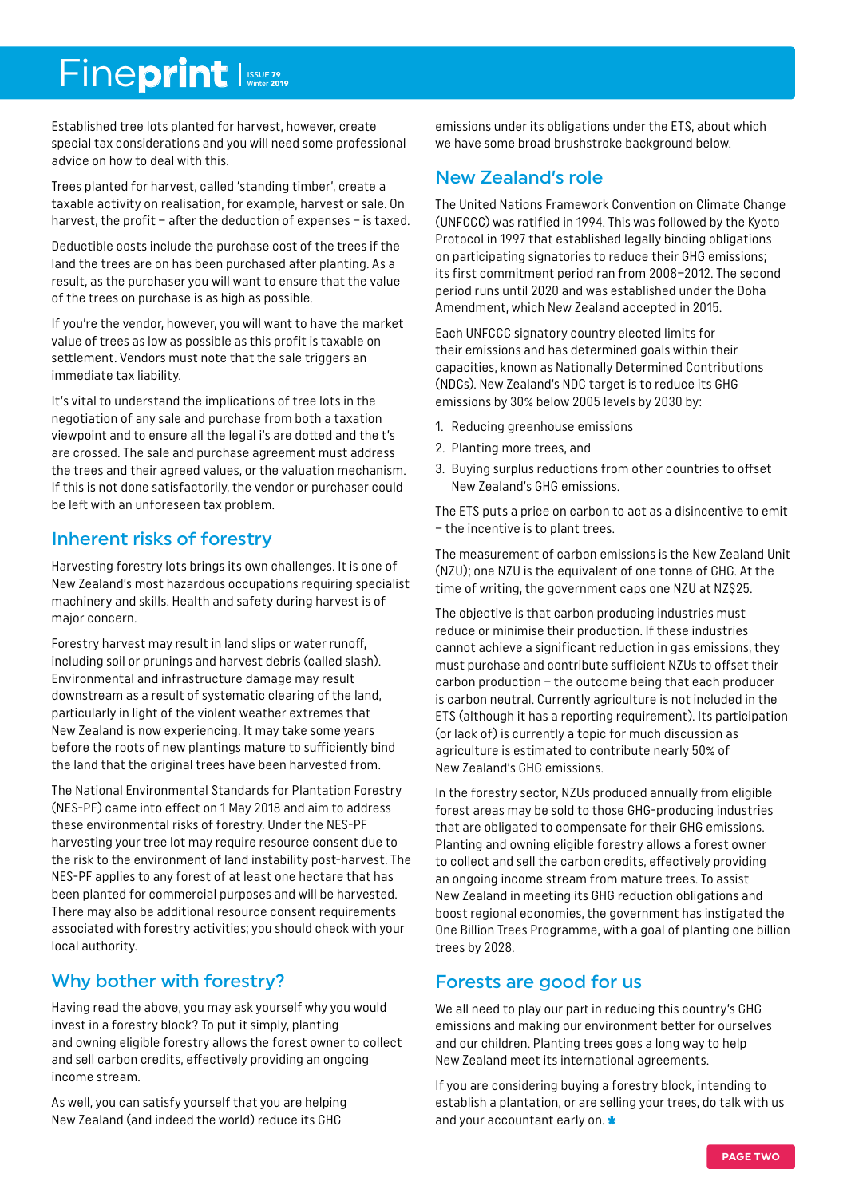### Fineprint Issue 79

Established tree lots planted for harvest, however, create special tax considerations and you will need some professional advice on how to deal with this.

Trees planted for harvest, called 'standing timber', create a taxable activity on realisation, for example, harvest or sale. On harvest, the profit – after the deduction of expenses – is taxed.

Deductible costs include the purchase cost of the trees if the land the trees are on has been purchased after planting. As a result, as the purchaser you will want to ensure that the value of the trees on purchase is as high as possible.

If you're the vendor, however, you will want to have the market value of trees as low as possible as this profit is taxable on settlement. Vendors must note that the sale triggers an immediate tax liability.

It's vital to understand the implications of tree lots in the negotiation of any sale and purchase from both a taxation viewpoint and to ensure all the legal i's are dotted and the t's are crossed. The sale and purchase agreement must address the trees and their agreed values, or the valuation mechanism. If this is not done satisfactorily, the vendor or purchaser could be left with an unforeseen tax problem.

#### Inherent risks of forestry

Harvesting forestry lots brings its own challenges. It is one of New Zealand's most hazardous occupations requiring specialist machinery and skills. Health and safety during harvest is of major concern.

Forestry harvest may result in land slips or water runoff, including soil or prunings and harvest debris (called slash). Environmental and infrastructure damage may result downstream as a result of systematic clearing of the land, particularly in light of the violent weather extremes that New Zealand is now experiencing. It may take some years before the roots of new plantings mature to sufficiently bind the land that the original trees have been harvested from.

The National Environmental Standards for Plantation Forestry (NES-PF) came into effect on 1 May 2018 and aim to address these environmental risks of forestry. Under the NES-PF harvesting your tree lot may require resource consent due to the risk to the environment of land instability post-harvest. The NES-PF applies to any forest of at least one hectare that has been planted for commercial purposes and will be harvested. There may also be additional resource consent requirements associated with forestry activities; you should check with your local authority.

#### Why bother with forestry?

Having read the above, you may ask yourself why you would invest in a forestry block? To put it simply, planting and owning eligible forestry allows the forest owner to collect and sell carbon credits, effectively providing an ongoing income stream.

As well, you can satisfy yourself that you are helping New Zealand (and indeed the world) reduce its GHG

emissions under its obligations under the ETS, about which we have some broad brushstroke background below.

#### New Zealand's role

The United Nations Framework Convention on Climate Change (UNFCCC) was ratified in 1994. This was followed by the Kyoto Protocol in 1997 that established legally binding obligations on participating signatories to reduce their GHG emissions; its first commitment period ran from 2008–2012. The second period runs until 2020 and was established under the Doha Amendment, which New Zealand accepted in 2015.

Each UNFCCC signatory country elected limits for their emissions and has determined goals within their capacities, known as Nationally Determined Contributions (NDCs). New Zealand's NDC target is to reduce its GHG emissions by 30% below 2005 levels by 2030 by:

- 1. Reducing greenhouse emissions
- 2. Planting more trees, and
- 3. Buying surplus reductions from other countries to offset New Zealand's GHG emissions.

The ETS puts a price on carbon to act as a disincentive to emit – the incentive is to plant trees.

The measurement of carbon emissions is the New Zealand Unit (NZU); one NZU is the equivalent of one tonne of GHG. At the time of writing, the government caps one NZU at NZ\$25.

The objective is that carbon producing industries must reduce or minimise their production. If these industries cannot achieve a significant reduction in gas emissions, they must purchase and contribute sufficient NZUs to offset their carbon production – the outcome being that each producer is carbon neutral. Currently agriculture is not included in the ETS (although it has a reporting requirement). Its participation (or lack of) is currently a topic for much discussion as agriculture is estimated to contribute nearly 50% of New Zealand's GHG emissions.

In the forestry sector, NZUs produced annually from eligible forest areas may be sold to those GHG-producing industries that are obligated to compensate for their GHG emissions. Planting and owning eligible forestry allows a forest owner to collect and sell the carbon credits, effectively providing an ongoing income stream from mature trees. To assist New Zealand in meeting its GHG reduction obligations and boost regional economies, the government has instigated the One Billion Trees Programme, with a goal of planting one billion trees by 2028.

#### Forests are good for us

We all need to play our part in reducing this country's GHG emissions and making our environment better for ourselves and our children. Planting trees goes a long way to help New Zealand meet its international agreements.

If you are considering buying a forestry block, intending to establish a plantation, or are selling your trees, do talk with us and your accountant early on.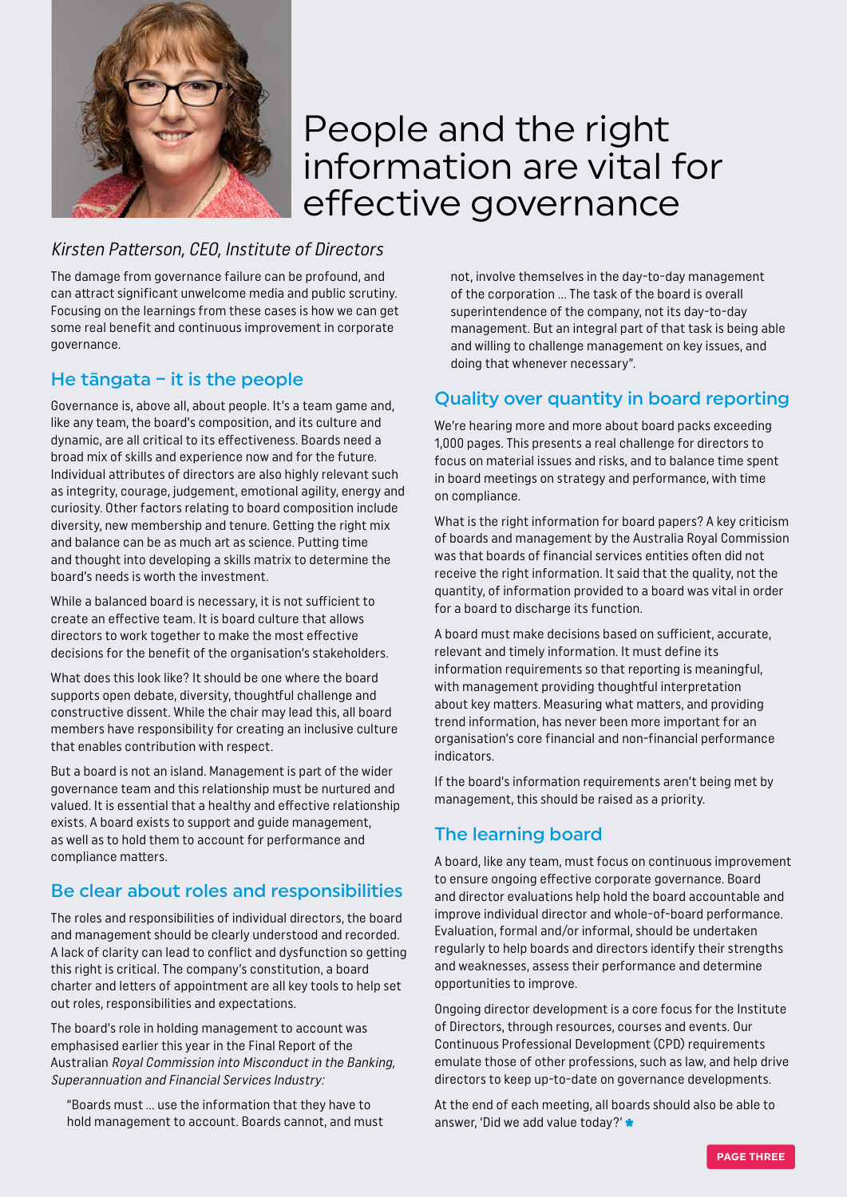

### People and the right information are vital for effective governance

#### Kirsten Patterson, CEO, Institute of Directors

The damage from governance failure can be profound, and can attract significant unwelcome media and public scrutiny. Focusing on the learnings from these cases is how we can get some real benefit and continuous improvement in corporate governance.

### He tāngata – it is the people

Governance is, above all, about people. It's a team game and, like any team, the board's composition, and its culture and dynamic, are all critical to its effectiveness. Boards need a broad mix of skills and experience now and for the future. Individual attributes of directors are also highly relevant such as integrity, courage, judgement, emotional agility, energy and curiosity. Other factors relating to board composition include diversity, new membership and tenure. Getting the right mix and balance can be as much art as science. Putting time and thought into developing a skills matrix to determine the board's needs is worth the investment.

While a balanced board is necessary, it is not sufficient to create an effective team. It is board culture that allows directors to work together to make the most effective decisions for the benefit of the organisation's stakeholders.

What does this look like? It should be one where the board supports open debate, diversity, thoughtful challenge and constructive dissent. While the chair may lead this, all board members have responsibility for creating an inclusive culture that enables contribution with respect.

But a board is not an island. Management is part of the wider governance team and this relationship must be nurtured and valued. It is essential that a healthy and effective relationship exists. A board exists to support and guide management, as well as to hold them to account for performance and compliance matters.

#### Be clear about roles and responsibilities

The roles and responsibilities of individual directors, the board and management should be clearly understood and recorded. A lack of clarity can lead to conflict and dysfunction so getting this right is critical. The company's constitution, a board charter and letters of appointment are all key tools to help set out roles, responsibilities and expectations.

The board's role in holding management to account was emphasised earlier this year in the Final Report of the Australian Royal Commission into Misconduct in the Banking, Superannuation and Financial Services Industry:

"Boards must … use the information that they have to hold management to account. Boards cannot, and must not, involve themselves in the day-to-day management of the corporation … The task of the board is overall superintendence of the company, not its day-to-day management. But an integral part of that task is being able and willing to challenge management on key issues, and doing that whenever necessary".

#### Quality over quantity in board reporting

We're hearing more and more about board packs exceeding 1,000 pages. This presents a real challenge for directors to focus on material issues and risks, and to balance time spent in board meetings on strategy and performance, with time on compliance.

What is the right information for board papers? A key criticism of boards and management by the Australia Royal Commission was that boards of financial services entities often did not receive the right information. It said that the quality, not the quantity, of information provided to a board was vital in order for a board to discharge its function.

A board must make decisions based on sufficient, accurate, relevant and timely information. It must define its information requirements so that reporting is meaningful, with management providing thoughtful interpretation about key matters. Measuring what matters, and providing trend information, has never been more important for an organisation's core financial and non-financial performance indicators.

If the board's information requirements aren't being met by management, this should be raised as a priority.

#### The learning board

A board, like any team, must focus on continuous improvement to ensure ongoing effective corporate governance. Board and director evaluations help hold the board accountable and improve individual director and whole-of-board performance. Evaluation, formal and/or informal, should be undertaken regularly to help boards and directors identify their strengths and weaknesses, assess their performance and determine opportunities to improve.

Ongoing director development is a core focus for the Institute of Directors, through resources, courses and events. Our Continuous Professional Development (CPD) requirements emulate those of other professions, such as law, and help drive directors to keep up-to-date on governance developments.

At the end of each meeting, all boards should also be able to answer, 'Did we add value today?'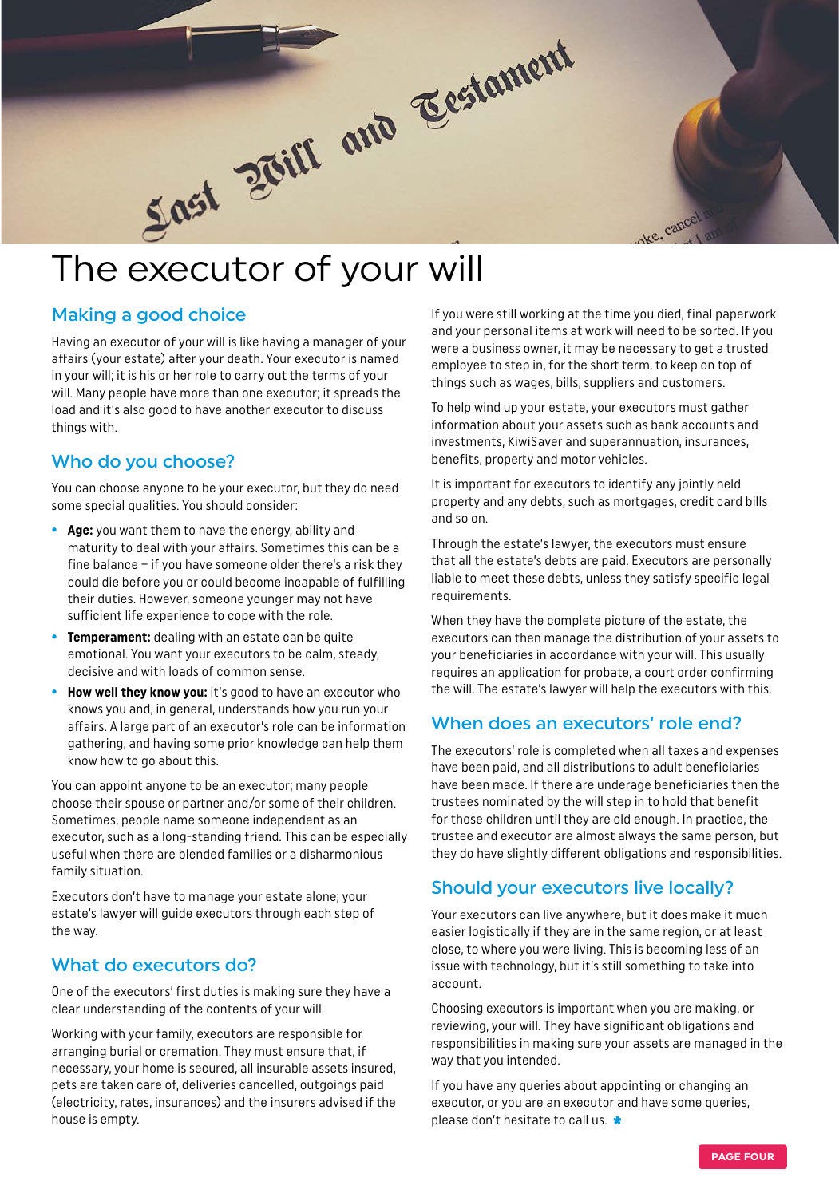

#### Making a good choice

Having an executor of your will is like having a manager of your affairs (your estate) after your death. Your executor is named in your will; it is his or her role to carry out the terms of your will. Many people have more than one executor; it spreads the load and it's also good to have another executor to discuss things with.

#### Who do you choose?

You can choose anyone to be your executor, but they do need some special qualities. You should consider:

- **• Age:** you want them to have the energy, ability and maturity to deal with your affairs. Sometimes this can be a fine balance – if you have someone older there's a risk they could die before you or could become incapable of fulfilling their duties. However, someone younger may not have sufficient life experience to cope with the role.
- **• Temperament:** dealing with an estate can be quite emotional. You want your executors to be calm, steady, decisive and with loads of common sense.
- **• How well they know you:** it's good to have an executor who knows you and, in general, understands how you run your affairs. A large part of an executor's role can be information gathering, and having some prior knowledge can help them know how to go about this.

You can appoint anyone to be an executor; many people choose their spouse or partner and/or some of their children. Sometimes, people name someone independent as an executor, such as a long-standing friend. This can be especially useful when there are blended families or a disharmonious family situation.

Executors don't have to manage your estate alone; your estate's lawyer will guide executors through each step of the way.

#### What do executors do?

One of the executors' first duties is making sure they have a clear understanding of the contents of your will.

Working with your family, executors are responsible for arranging burial or cremation. They must ensure that, if necessary, your home is secured, all insurable assets insured, pets are taken care of, deliveries cancelled, outgoings paid (electricity, rates, insurances) and the insurers advised if the house is empty.

If you were still working at the time you died, final paperwork and your personal items at work will need to be sorted. If you were a business owner, it may be necessary to get a trusted employee to step in, for the short term, to keep on top of things such as wages, bills, suppliers and customers.

To help wind up your estate, your executors must gather information about your assets such as bank accounts and investments, KiwiSaver and superannuation, insurances, benefits, property and motor vehicles.

It is important for executors to identify any jointly held property and any debts, such as mortgages, credit card bills and so on.

Through the estate's lawyer, the executors must ensure that all the estate's debts are paid. Executors are personally liable to meet these debts, unless they satisfy specific legal requirements.

When they have the complete picture of the estate, the executors can then manage the distribution of your assets to your beneficiaries in accordance with your will. This usually requires an application for probate, a court order confirming the will. The estate's lawyer will help the executors with this.

#### When does an executors' role end?

The executors' role is completed when all taxes and expenses have been paid, and all distributions to adult beneficiaries have been made. If there are underage beneficiaries then the trustees nominated by the will step in to hold that benefit for those children until they are old enough. In practice, the trustee and executor are almost always the same person, but they do have slightly different obligations and responsibilities.

#### Should your executors live locally?

Your executors can live anywhere, but it does make it much easier logistically if they are in the same region, or at least close, to where you were living. This is becoming less of an issue with technology, but it's still something to take into account.

Choosing executors is important when you are making, or reviewing, your will. They have significant obligations and responsibilities in making sure your assets are managed in the way that you intended.

If you have any queries about appointing or changing an executor, or you are an executor and have some queries, please don't hesitate to call us.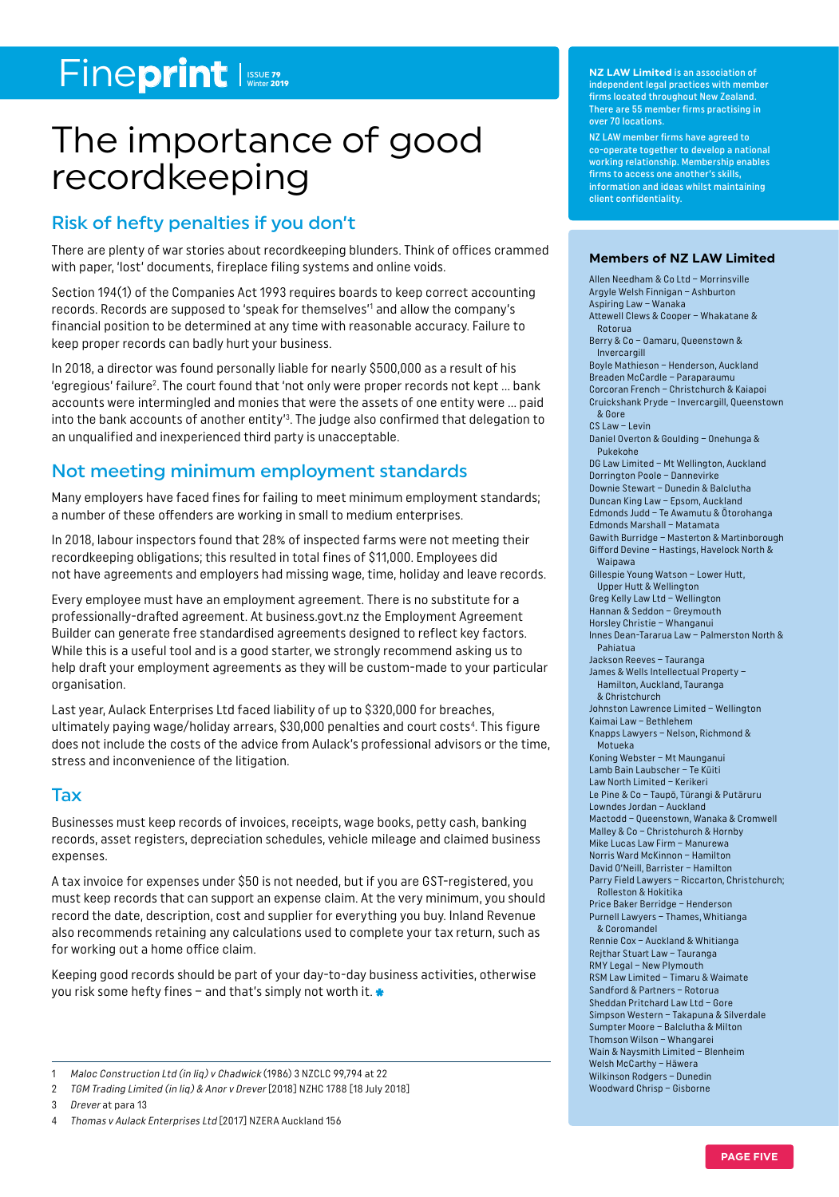### Fineprint Issue 79

### The importance of good recordkeeping

#### Risk of hefty penalties if you don't

There are plenty of war stories about recordkeeping blunders. Think of offices crammed with paper, 'lost' documents, fireplace filing systems and online voids.

Section 194(1) of the Companies Act 1993 requires boards to keep correct accounting records. Records are supposed to 'speak for themselves'<sup>1</sup> and allow the company's financial position to be determined at any time with reasonable accuracy. Failure to keep proper records can badly hurt your business.

In 2018, a director was found personally liable for nearly \$500,000 as a result of his 'egregious' failure<sup>2</sup>. The court found that 'not only were proper records not kept ... bank accounts were intermingled and monies that were the assets of one entity were … paid into the bank accounts of another entity'<sup>3</sup>. The judge also confirmed that delegation to an unqualified and inexperienced third party is unacceptable.

#### Not meeting minimum employment standards

Many employers have faced fines for failing to meet minimum employment standards; a number of these offenders are working in small to medium enterprises.

In 2018, labour inspectors found that 28% of inspected farms were not meeting their recordkeeping obligations; this resulted in total fines of \$11,000. Employees did not have agreements and employers had missing wage, time, holiday and leave records.

Every employee must have an employment agreement. There is no substitute for a professionally-drafted agreement. At business.govt.nz the Employment Agreement Builder can generate free standardised agreements designed to reflect key factors. While this is a useful tool and is a good starter, we strongly recommend asking us to help draft your employment agreements as they will be custom-made to your particular organisation.

Last year, Aulack Enterprises Ltd faced liability of up to \$320,000 for breaches, ultimately paying wage/holiday arrears, \$30,000 penalties and court costs<sup>4</sup>. This figure does not include the costs of the advice from Aulack's professional advisors or the time, stress and inconvenience of the litigation.

#### Tax

Businesses must keep records of invoices, receipts, wage books, petty cash, banking records, asset registers, depreciation schedules, vehicle mileage and claimed business expenses.

A tax invoice for expenses under \$50 is not needed, but if you are GST-registered, you must keep records that can support an expense claim. At the very minimum, you should record the date, description, cost and supplier for everything you buy. Inland Revenue also recommends retaining any calculations used to complete your tax return, such as for working out a home office claim.

Keeping good records should be part of your day-to-day business activities, otherwise you risk some hefty fines – and that's simply not worth it.  $\ast$ 

**NZ LAW Limited** is an association of independent legal practices with member firms located throughout New Zealand. There are 55 member firms practising in over 70 locations.

NZ LAW member firms have agreed to co-operate together to develop a national working relationship. Membership enables firms to access one another's skills, information and ideas whilst maintaining client confidentiality.

#### **Members of NZ LAW Limited**

Allen Needham & Co Ltd – Morrinsville Argyle Welsh Finnigan – Ashburton Aspiring Law – Wanaka Attewell Clews & Cooper – Whakatane & Rotorua Berry & Co – Oamaru, Queenstown & Invercargill Boyle Mathieson – Henderson, Auckland Breaden McCardle – Paraparaumu Corcoran French – Christchurch & Kaiapoi Cruickshank Pryde – Invercargill, Queenstown & Gore CS Law – Levin Daniel Overton & Goulding – Onehunga & Pukekohe DG Law Limited – Mt Wellington, Auckland Dorrington Poole – Dannevirke Downie Stewart – Dunedin & Balclutha Duncan King Law – Epsom, Auckland Edmonds Judd – Te Awamutu & Ōtorohanga Edmonds Marshall – Matamata Gawith Burridge – Masterton & Martinborough Gifford Devine – Hastings, Havelock North & Waipawa Gillespie Young Watson – Lower Hutt, Upper Hutt & Wellington Greg Kelly Law Ltd – Wellington Hannan & Seddon – Greymouth Horsley Christie – Whanganui Innes Dean-Tararua Law – Palmerston North & Pahiatua Jackson Reeves – Tauranga James & Wells Intellectual Property – Hamilton, Auckland, Tauranga & Christchurch Johnston Lawrence Limited – Wellington Kaimai Law – Bethlehem Knapps Lawyers – Nelson, Richmond & Motueka Koning Webster – Mt Maunganui Lamb Bain Laubscher – Te Kūiti Law North Limited – Kerikeri Le Pine & Co – Taupō, Tūrangi & Putāruru Lowndes Jordan – Auckland Mactodd – Queenstown, Wanaka & Cromwell Malley & Co – Christchurch & Hornby Mike Lucas Law Firm – Manurewa Norris Ward McKinnon – Hamilton David O'Neill, Barrister – Hamilton Parry Field Lawyers – Riccarton, Christchurch; Rolleston & Hokitika Price Baker Berridge – Henderson Purnell Lawyers – Thames, Whitianga & Coromandel Rennie Cox – Auckland & Whitianga Rejthar Stuart Law – Tauranga RMY Legal – New Plymouth RSM Law Limited – Timaru & Waimate Sandford & Partners – Rotorua Sheddan Pritchard Law Ltd – Gore Simpson Western – Takapuna & Silverdale Sumpter Moore – Balclutha & Milton Thomson Wilson – Whangarei Wain & Naysmith Limited – Blenheim Welsh McCarthy – Hāwera Wilkinson Rodgers – Dunedin Woodward Chrisp – Gisborne

<sup>1</sup> Maloc Construction Ltd (in liq) v Chadwick (1986) 3 NZCLC 99,794 at 22

<sup>2</sup> TGM Trading Limited (in liq) & Anor v Drever [2018] NZHC 1788 [18 July 2018]

<sup>3</sup> Drever at para 13

<sup>4</sup> Thomas v Aulack Enterprises Ltd [2017] NZERA Auckland 156